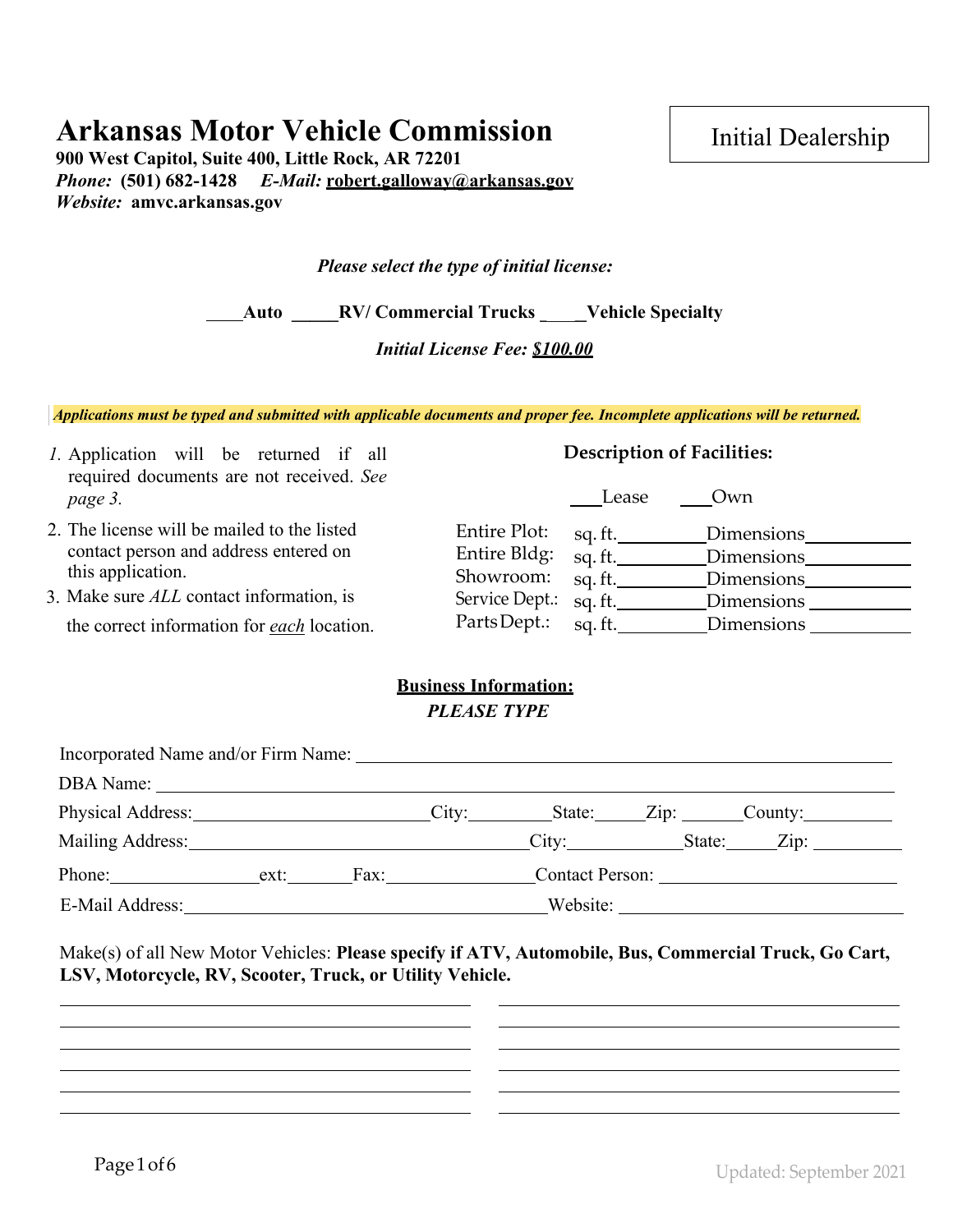# **Arkansas Motor Vehicle Commission**

**900 West Capitol, Suite 400, Little Rock, AR 72201**  *Phone:* **(501) 682-1428** *E-Mail:* **[robert.galloway@arkansas.gov](mailto:robert.galloway@arkansas.gov)** *Website:* **amvc.arkansas.gov** 

Initial Dealership

| Please select the type of initial license: |  |  |
|--------------------------------------------|--|--|
|--------------------------------------------|--|--|

**Auto \_\_\_\_\_RV/ Commercial Trucks \_\_\_\_\_Vehicle Specialty**

*Initial License Fee: \$100.00* 

*Applications must be typed and submitted with applicable documents and proper fee. Incomplete applications will be returned.*

| <i>l</i> . Application will be returned if all<br>required documents are not received. See | <b>Description of Facilities:</b>                                          |
|--------------------------------------------------------------------------------------------|----------------------------------------------------------------------------|
| page 3.                                                                                    | Own<br>Lease                                                               |
| 2. The license will be mailed to the listed<br>contact person and address entered on       | Entire Plot:<br>Dimensions<br>sq. ft.                                      |
| this application.                                                                          | Entire Bldg:<br>sq.ft.<br>Dimensions<br>Showroom:<br>sq. ft.<br>Dimensions |
| 3. Make sure ALL contact information, is                                                   | Service Dept.:<br>sq.ft.<br>Dimensions                                     |
| the correct information for <i>each</i> location.                                          | PartsDept.:<br>sq.ft.<br>Dimensions                                        |

### **Business Information:** *PLEASE TYPE*

| Incorporated Name and/or Firm Name:                                                                            |      |               |  |                   |  |
|----------------------------------------------------------------------------------------------------------------|------|---------------|--|-------------------|--|
|                                                                                                                |      |               |  |                   |  |
| Physical Address: City: State: Zip: County:                                                                    |      |               |  |                   |  |
| Mailing Address: 1988 and 1989 and 1989 and 1989 and 1989 and 1989 and 1989 and 1989 and 1989 and 1989 and 198 |      |               |  | City: State: Zip: |  |
| Phone: $\frac{1}{\sqrt{1-\frac{1}{2}} \cdot \frac{1}{2}}$                                                      | ext: | $\text{Fax}:$ |  |                   |  |
|                                                                                                                |      |               |  |                   |  |

Make(s) of all New Motor Vehicles: **Please specify if ATV, Automobile, Bus, Commercial Truck, Go Cart, LSV, Motorcycle, RV, Scooter, Truck, or Utility Vehicle.**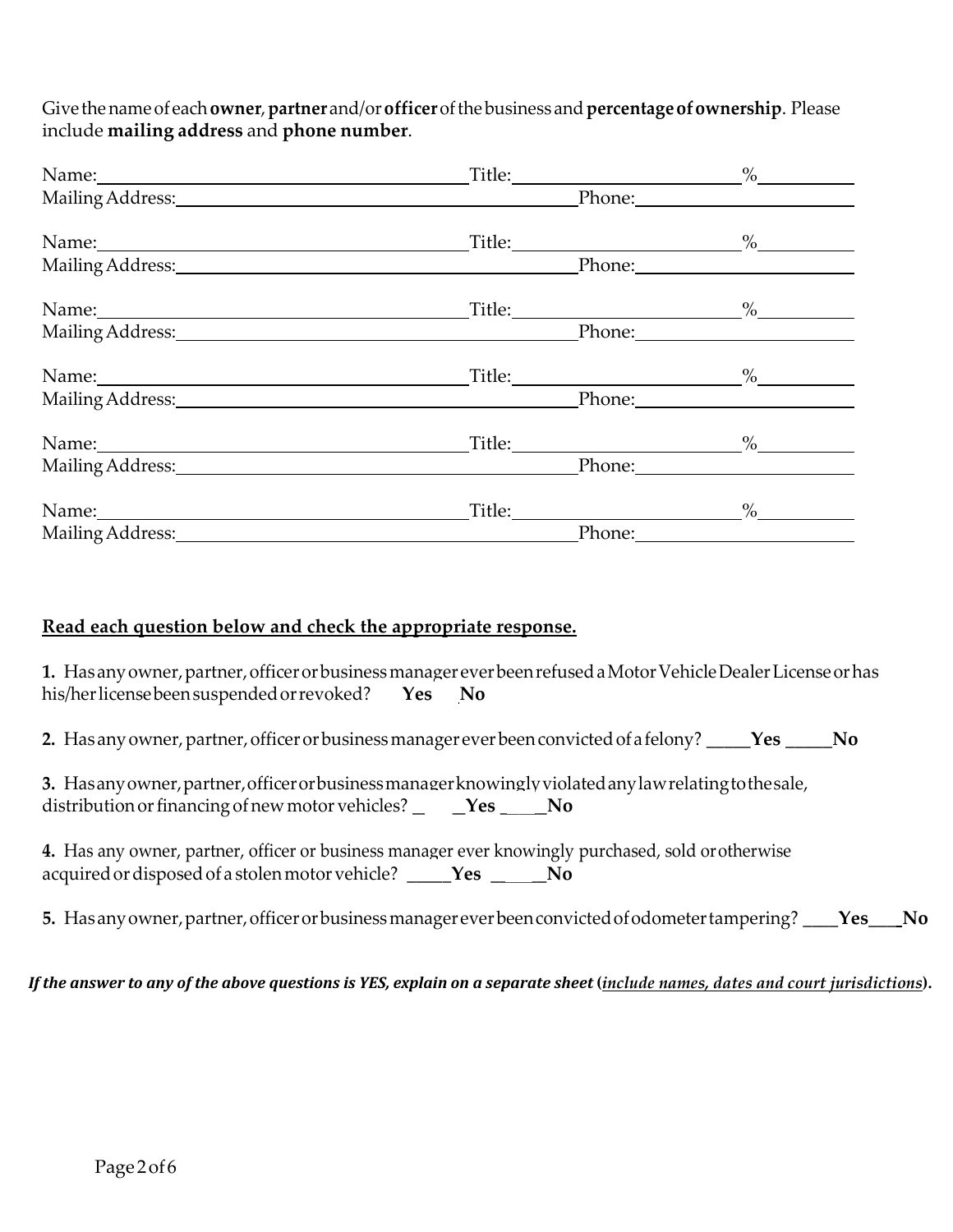Give the name of each**owner**, **partner** and/or**officer** of the business and **percentageofownership**. Please include **mailing address** and **phone number**.

| Name: Name and the second contract of the second contract of the second contract of the second contract of the second contract of the second contract of the second contract of the second contract of the second contract of  |                                        | $\%$   |
|--------------------------------------------------------------------------------------------------------------------------------------------------------------------------------------------------------------------------------|----------------------------------------|--------|
|                                                                                                                                                                                                                                |                                        |        |
| Name: Name and the second state of the second state of the second state of the second state of the second state of the second state of the second state of the second state of the second state of the second state of the sec |                                        | $\%$   |
| Mailing Address: 1988                                                                                                                                                                                                          |                                        | Phone: |
| Name: Name: Name: Name: Name: Name: Name: Name: Name: Name: Name: Name: Name: Name: Name: Name: Name: Name: Name: Name: Name: Name: Name: Name: Name: Name: Name: Name: Name: Name: Name: Name: Name: Name: Name: Name: Name:  |                                        | $\%$   |
| Mailing Address: 1988 and 2008 and 2008 and 2008 and 2008 and 2008 and 2008 and 2008 and 2008 and 2008 and 200                                                                                                                 |                                        |        |
| Name: Name and the set of the set of the set of the set of the set of the set of the set of the set of the set of the set of the set of the set of the set of the set of the set of the set of the set of the set of the set o |                                        | $\%$   |
| Mailing Address: National Address: National Address:                                                                                                                                                                           |                                        | Phone: |
|                                                                                                                                                                                                                                |                                        | $\%$   |
| Mailing Address: 1988                                                                                                                                                                                                          |                                        |        |
|                                                                                                                                                                                                                                | Title: 1990 Million State Street, 1990 | $\%$   |
| Mailing Address: 1988                                                                                                                                                                                                          |                                        | Phone: |

### **Read each question below and check the appropriate response.**

1. Has any owner, partner, officer or business manager ever been refused a Motor Vehicle Dealer License or has his/her license been suspended orrevoked? \_\_\_**Yes \_\_ No**

2. Has any owner, partner, officer or business manager ever been convicted of a felony? \_\_\_\_\_**Yes \_\_\_\_\_\_No** 

| 3. Has any owner, partner, officer or business manager knowingly violated any law relating to the sale, |  |  |
|---------------------------------------------------------------------------------------------------------|--|--|
| distribution or financing of new motor vehicles? _____Yes _____No                                       |  |  |

- **4.** Has any owner, partner, officer or business manager ever knowingly purchased, sold orotherwise acquiredor disposed of a stolenmotor vehicle? \_\_\_\_\_**Yes \_\_\_\_\_\_No**
- 5. Has any owner, partner, officer or business manager ever been convicted of odometer tampering? \_\_\_\_**Yes\_\_\_\_No**

#### *If the answer to any of the above questions is YES, explain on a separate sheet (include names, dates and court jurisdictions).*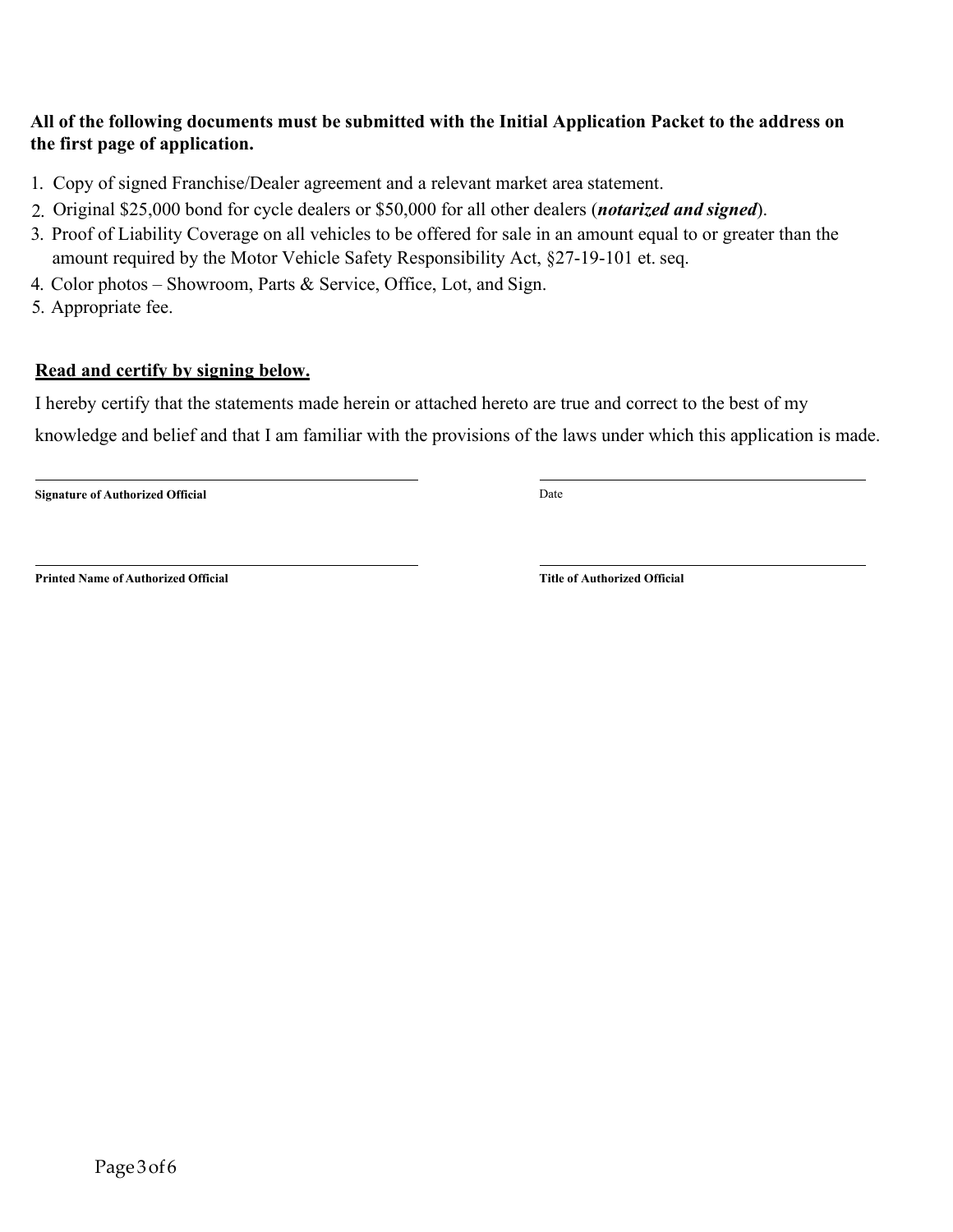### **All of the following documents must be submitted with the Initial Application Packet to the address on the first page of application.**

- 1. Copy of signed Franchise/Dealer agreement and a relevant market area statement.
- 2. Original \$25,000 bond for cycle dealers or \$50,000 for all other dealers (*notarized and signed*).
- 3. Proof of Liability Coverage on all vehicles to be offered for sale in an amount equal to or greater than the amount required by the Motor Vehicle Safety Responsibility Act, §27-19-101 et. seq.
- 4. Color photos Showroom, Parts & Service, Office, Lot, and Sign.
- 5. Appropriate fee.

### **Read and certify by signing below.**

I hereby certify that the statements made herein or attached hereto are true and correct to the best of my

knowledge and belief and that I am familiar with the provisions of the laws under which this application is made.

**Signature of Authorized Official** Date

**Printed Name of Authorized Official Title of Authorized Official**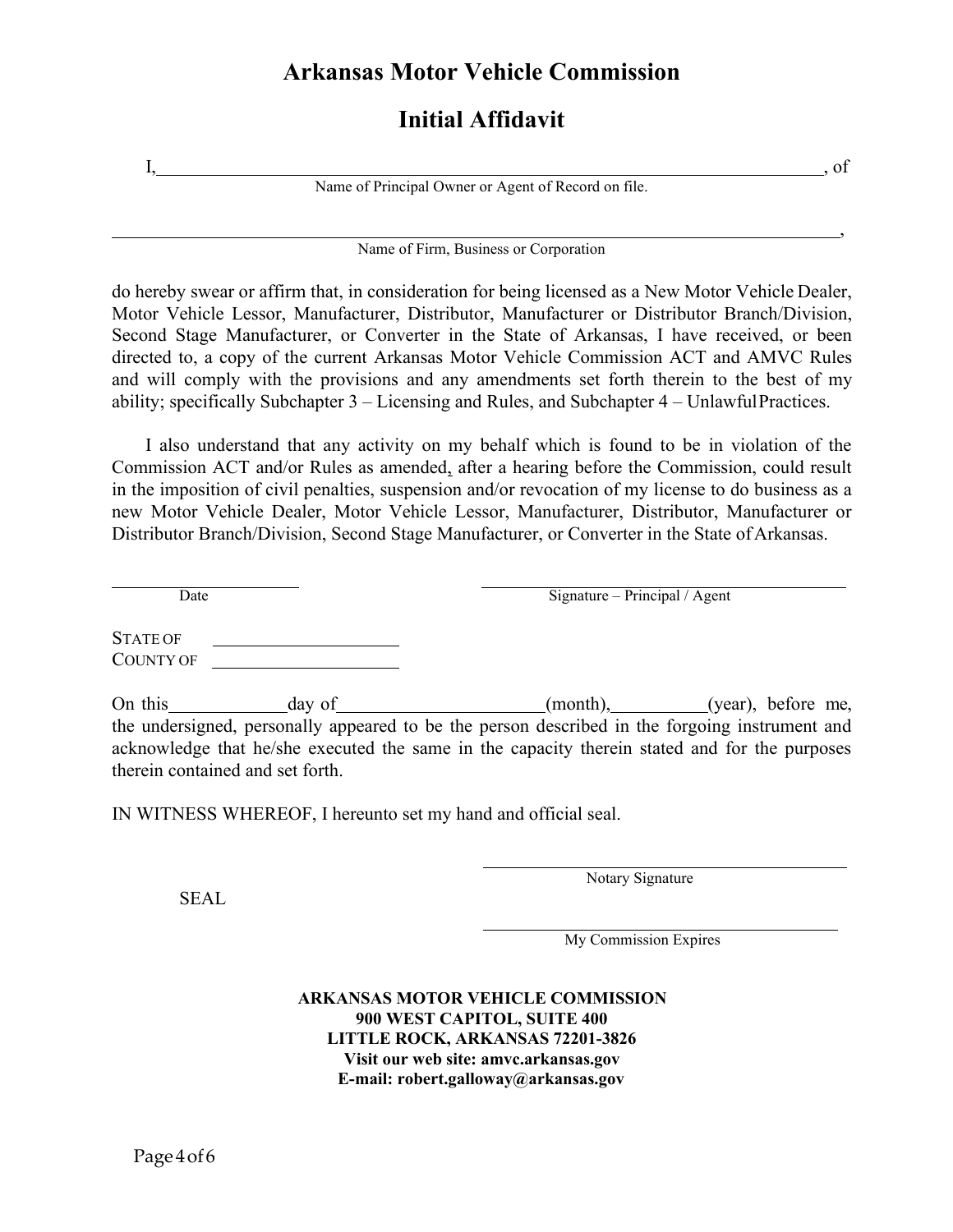# **Arkansas Motor Vehicle Commission**

# **Initial Affidavit**

Name of Principal Owner or Agent of Record on file.

, we also a set of the contract of the contract of the contract of the contract of the contract of  $\mathcal{A}$ Name of Firm, Business or Corporation

do hereby swear or affirm that, in consideration for being licensed as a New Motor Vehicle Dealer, Motor Vehicle Lessor, Manufacturer, Distributor, Manufacturer or Distributor Branch/Division, Second Stage Manufacturer, or Converter in the State of Arkansas, I have received, or been directed to, a copy of the current Arkansas Motor Vehicle Commission ACT and AMVC Rules and will comply with the provisions and any amendments set forth therein to the best of my ability; specifically Subchapter 3 – Licensing and Rules, and Subchapter 4 – UnlawfulPractices.

I also understand that any activity on my behalf which is found to be in violation of the Commission ACT and/or Rules as amended, after a hearing before the Commission, could result in the imposition of civil penalties, suspension and/or revocation of my license to do business as a new Motor Vehicle Dealer, Motor Vehicle Lessor, Manufacturer, Distributor, Manufacturer or Distributor Branch/Division, Second Stage Manufacturer, or Converter in the State of Arkansas.

Date Signature – Principal / Agent

STATE OF COUNTY OF

On this day of (month), (year), before me, the undersigned, personally appeared to be the person described in the forgoing instrument and acknowledge that he/she executed the same in the capacity therein stated and for the purposes therein contained and set forth.

IN WITNESS WHEREOF, I hereunto set my hand and official seal.

SEAL

Notary Signature

My Commission Expires

**ARKANSAS MOTOR VEHICLE COMMISSION 900 WEST CAPITOL, SUITE 400 LITTLE ROCK, ARKANSAS 72201-3826 Visit our web site: amvc.arkansas.gov E-mail: [robert.galloway@arkansas.gov](mailto:robert.galloway@arkansas.gov)**

I, , of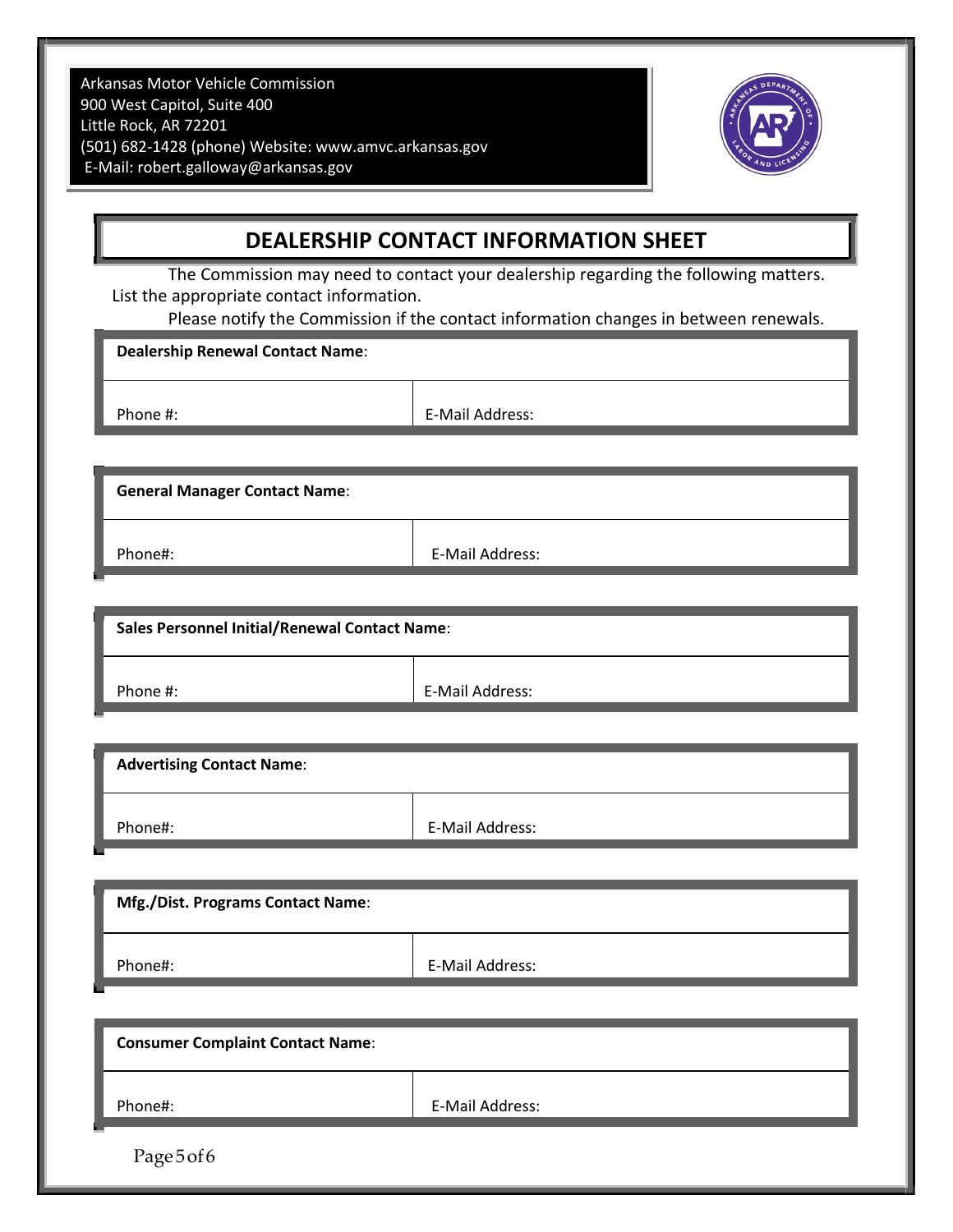Arkansas Motor Vehicle Commission 900 West Capitol, Suite 400 Little Rock, AR 72201 (501) 682-1428 (phone) Website: [www.amvc.arkansas.gov](http://www.amvc.arkansas.gov/) E-Mail: [robert.galloway@arkansas.gov](mailto:robert.galloway@arkansas.gov)



## **DEALERSHIP CONTACT INFORMATION SHEET**

The Commission may need to contact your dealership regarding the following matters. List the appropriate contact information.

Please notify the Commission if the contact information changes in between renewals.

**Dealership Renewal Contact Name**:

Phone #: E-Mail Address:

**General Manager Contact Name**:

Phone#: Phone E-Mail Address:

**Sales Personnel Initial/Renewal Contact Name**:

Phone #:  $\qquad \qquad$  E-Mail Address:

**Advertising Contact Name**: Phone#: E-Mail Address:

| <b>Mfg./Dist. Programs Contact Name:</b> |                 |
|------------------------------------------|-----------------|
| Phone#:                                  | E-Mail Address: |

| <b>Consumer Complaint Contact Name:</b> |                 |
|-----------------------------------------|-----------------|
| Phone#:                                 | E-Mail Address: |
| ×<br>Page5of6                           |                 |